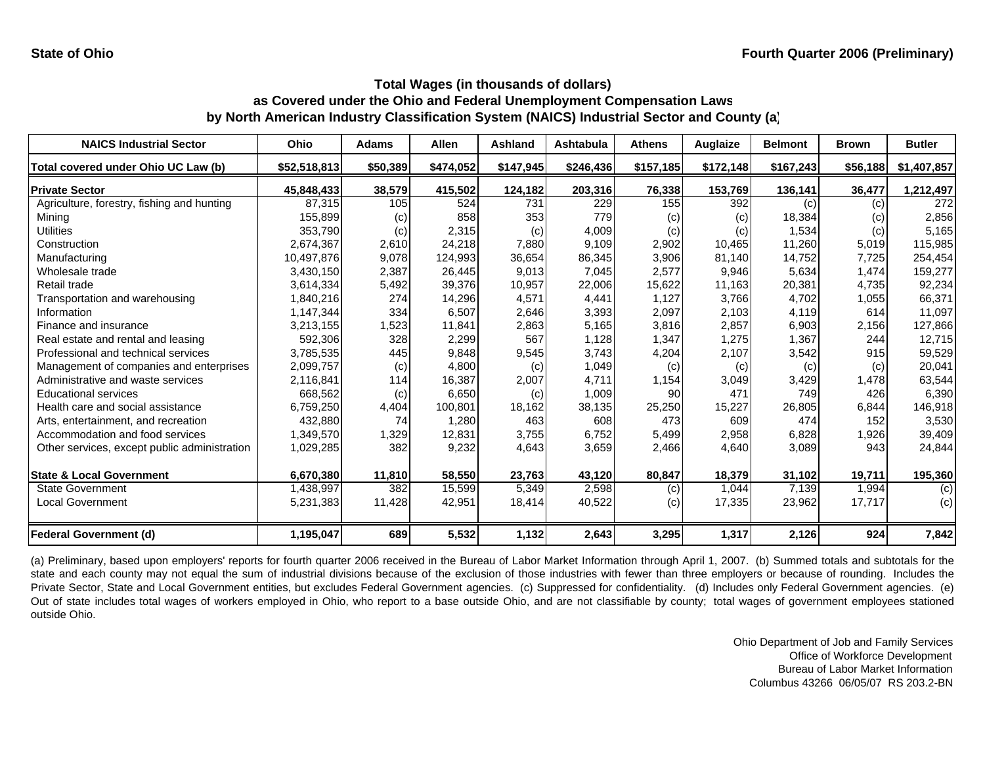| <b>NAICS Industrial Sector</b>               | <b>Ohio</b>  | <b>Adams</b> | <b>Allen</b> | Ashland   | Ashtabula | <b>Athens</b> | Auglaize  | <b>Belmont</b> | <b>Brown</b> | <b>Butler</b> |
|----------------------------------------------|--------------|--------------|--------------|-----------|-----------|---------------|-----------|----------------|--------------|---------------|
| Total covered under Ohio UC Law (b)          | \$52,518,813 | \$50,389     | \$474,052    | \$147,945 | \$246,436 | \$157,185     | \$172,148 | \$167,243      | \$56,188     | \$1,407,857   |
| <b>Private Sector</b>                        | 45,848,433   | 38,579       | 415,502      | 124,182   | 203,316   | 76,338        | 153,769   | 136,141        | 36,477       | 1,212,497     |
| Agriculture, forestry, fishing and hunting   | 87.315       | 105          | 524          | 731       | 229       | 155           | 392       | (c)            | (c)          | 272           |
| Mining                                       | 155,899      | (c)          | 858          | 353       | 779       | (c)           | (c)       | 18,384         | (c)          | 2,856         |
| <b>Utilities</b>                             | 353,790      | (c)          | 2,315        | (c)       | 4,009     | (c)           | (c)       | 1,534          | (c)          | 5,165         |
| Construction                                 | 2,674,367    | 2,610        | 24,218       | 7,880     | 9,109     | 2,902         | 10,465    | 11,260         | 5,019        | 115,985       |
| Manufacturing                                | 10,497,876   | 9,078        | 124,993      | 36,654    | 86,345    | 3,906         | 81,140    | 14,752         | 7,725        | 254,454       |
| Wholesale trade                              | 3,430,150    | 2,387        | 26,445       | 9,013     | 7,045     | 2,577         | 9,946     | 5,634          | 1,474        | 159,277       |
| Retail trade                                 | 3,614,334    | 5,492        | 39,376       | 10,957    | 22,006    | 15,622        | 11,163    | 20,381         | 4,735        | 92,234        |
| Transportation and warehousing               | 1,840,216    | 274          | 14,296       | 4,571     | 4,441     | 1,127         | 3,766     | 4,702          | 1,055        | 66,371        |
| Information                                  | 1,147,344    | 334          | 6,507        | 2,646     | 3,393     | 2,097         | 2,103     | 4,119          | 614          | 11,097        |
| Finance and insurance                        | 3,213,155    | 1,523        | 11,841       | 2,863     | 5,165     | 3,816         | 2,857     | 6,903          | 2,156        | 127,866       |
| Real estate and rental and leasing           | 592,306      | 328          | 2,299        | 567       | 1,128     | 1,347         | 1,275     | 1,367          | 244          | 12,715        |
| Professional and technical services          | 3,785,535    | 445          | 9,848        | 9,545     | 3,743     | 4,204         | 2,107     | 3,542          | 915          | 59,529        |
| Management of companies and enterprises      | 2,099,757    | (c)          | 4,800        | (c)       | 1,049     | (c)           | (c)       | (c)            | (c)          | 20,041        |
| Administrative and waste services            | 2,116,841    | 114          | 16,387       | 2,007     | 4.711     | 1,154         | 3,049     | 3,429          | 1,478        | 63,544        |
| <b>Educational services</b>                  | 668,562      | (c)          | 6,650        | (c)       | 1,009     | 90            | 471       | 749            | 426          | 6,390         |
| Health care and social assistance            | 6,759,250    | 4,404        | 100,801      | 18,162    | 38,135    | 25,250        | 15,227    | 26,805         | 6,844        | 146,918       |
| Arts, entertainment, and recreation          | 432,880      | 74           | 1,280        | 463       | 608       | 473           | 609       | 474            | 152          | 3,530         |
| Accommodation and food services              | 1,349,570    | 1,329        | 12,831       | 3,755     | 6,752     | 5,499         | 2,958     | 6,828          | 1,926        | 39,409        |
| Other services, except public administration | 1,029,285    | 382          | 9,232        | 4,643     | 3,659     | 2,466         | 4,640     | 3,089          | 943          | 24,844        |
| <b>State &amp; Local Government</b>          | 6,670,380    | 11,810       | 58,550       | 23,763    | 43,120    | 80,847        | 18,379    | 31,102         | 19,711       | 195,360       |
| <b>State Government</b>                      | 1,438,997    | 382          | 15,599       | 5,349     | 2,598     | (c)           | 1,044     | 7,139          | 1,994        | (c)           |
| Local Government                             | 5,231,383    | 11,428       | 42,951       | 18,414    | 40,522    | (c)           | 17,335    | 23,962         | 17,717       | (c)           |
| <b>Federal Government (d)</b>                | 1,195,047    | 689          | 5,532        | 1,132     | 2,643     | 3,295         | 1,317     | 2,126          | 924          | 7,842         |

(a) Preliminary, based upon employers' reports for fourth quarter 2006 received in the Bureau of Labor Market Information through April 1, 2007. (b) Summed totals and subtotals for the state and each county may not equal the sum of industrial divisions because of the exclusion of those industries with fewer than three employers or because of rounding. Includes the Private Sector, State and Local Government entities, but excludes Federal Government agencies. (c) Suppressed for confidentiality. (d) Includes only Federal Government agencies. (e) Out of state includes total wages of workers employed in Ohio, who report to <sup>a</sup> base outside Ohio, and are not classifiable by county; total wages of government employees stationed outside Ohio.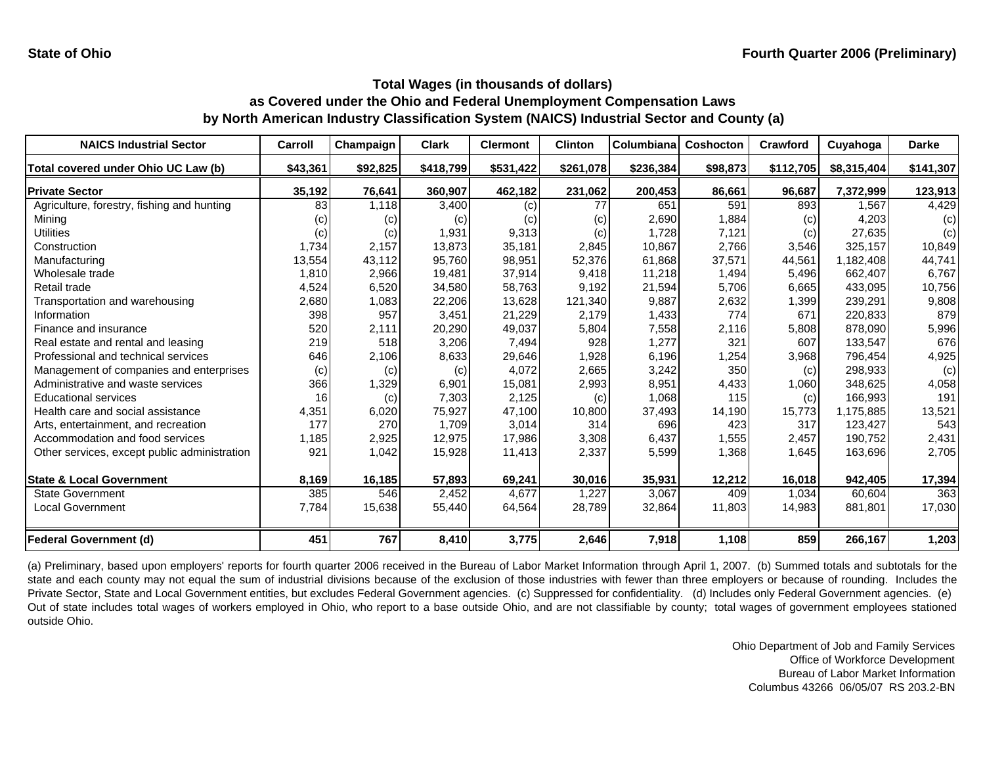| <b>NAICS Industrial Sector</b>               | Carroll  | Champaign | <b>Clark</b> | <b>Clermont</b> | <b>Clinton</b> | Columbiana | <b>Coshocton</b> | Crawford  | Cuyahoga    | <b>Darke</b> |
|----------------------------------------------|----------|-----------|--------------|-----------------|----------------|------------|------------------|-----------|-------------|--------------|
| Total covered under Ohio UC Law (b)          | \$43,361 | \$92,825  | \$418,799    | \$531,422       | \$261,078      | \$236,384  | \$98,873         | \$112,705 | \$8,315,404 | \$141,307    |
| <b>Private Sector</b>                        | 35,192   | 76,641    | 360,907      | 462,182         | 231,062        | 200,453    | 86,661           | 96,687    | 7,372,999   | 123,913      |
| Agriculture, forestry, fishing and hunting   | 83       | 1.118     | 3,400        | (c)             | 77             | 651        | 591              | 893       | 1.567       | 4,429        |
| Mining                                       | (c)      | (c)       | (c)          | (c)             | (c)            | 2,690      | 1,884            | (c)       | 4,203       | (c)          |
| <b>Utilities</b>                             | (c)      | (c)       | 1,931        | 9,313           | (c)            | 1,728      | 7,121            | (c)       | 27,635      | (c)          |
| Construction                                 | 1,734    | 2,157     | 13,873       | 35.181          | 2,845          | 10,867     | 2,766            | 3,546     | 325,157     | 10,849       |
| Manufacturing                                | 13,554   | 43,112    | 95,760       | 98,951          | 52,376         | 61,868     | 37,571           | 44,561    | 1,182,408   | 44,741       |
| Wholesale trade                              | 1,810    | 2,966     | 19,481       | 37,914          | 9,418          | 11,218     | 1,494            | 5,496     | 662,407     | 6,767        |
| Retail trade                                 | 4,524    | 6,520     | 34,580       | 58,763          | 9,192          | 21,594     | 5,706            | 6,665     | 433,095     | 10,756       |
| Transportation and warehousing               | 2,680    | 1,083     | 22,206       | 13,628          | 121,340        | 9,887      | 2,632            | 1,399     | 239,291     | 9,808        |
| Information                                  | 398      | 957       | 3,451        | 21,229          | 2,179          | 1,433      | 774              | 671       | 220.833     | 879          |
| Finance and insurance                        | 520      | 2,111     | 20,290       | 49,037          | 5,804          | 7,558      | 2,116            | 5,808     | 878.090     | 5,996        |
| Real estate and rental and leasing           | 219      | 518       | 3,206        | 7,494           | 928            | 1,277      | 321              | 607       | 133,547     | 676          |
| Professional and technical services          | 646      | 2,106     | 8,633        | 29,646          | 1,928          | 6,196      | 1,254            | 3,968     | 796,454     | 4,925        |
| Management of companies and enterprises      | (c)      | (c)       | (c)          | 4,072           | 2,665          | 3,242      | 350              | (c)       | 298,933     | (c)          |
| Administrative and waste services            | 366      | 1,329     | 6,901        | 15,081          | 2,993          | 8,951      | 4,433            | 1,060     | 348,625     | 4,058        |
| <b>Educational services</b>                  | 16       | (c)       | 7,303        | 2,125           | (c)            | 1,068      | 115              | (c)       | 166,993     | 191          |
| Health care and social assistance            | 4,351    | 6,020     | 75,927       | 47,100          | 10,800         | 37,493     | 14,190           | 15,773    | 1,175,885   | 13,521       |
| Arts, entertainment, and recreation          | 177      | 270       | 1,709        | 3,014           | 314            | 696        | 423              | 317       | 123,427     | 543          |
| Accommodation and food services              | 1,185    | 2,925     | 12,975       | 17,986          | 3,308          | 6,437      | 1,555            | 2,457     | 190,752     | 2,431        |
| Other services, except public administration | 921      | 1,042     | 15,928       | 11,413          | 2,337          | 5,599      | 1,368            | 1,645     | 163,696     | 2,705        |
| <b>State &amp; Local Government</b>          | 8,169    | 16,185    | 57,893       | 69,241          | 30,016         | 35,931     | 12,212           | 16,018    | 942,405     | 17,394       |
| <b>State Government</b>                      | 385      | 546       | 2,452        | 4,677           | 1,227          | 3,067      | 409              | 1,034     | 60,604      | 363          |
| <b>Local Government</b>                      | 7,784    | 15,638    | 55,440       | 64,564          | 28,789         | 32,864     | 11,803           | 14,983    | 881,801     | 17,030       |
| <b>Federal Government (d)</b>                | 451      | 767       | 8,410        | 3,775           | 2,646          | 7,918      | 1,108            | 859       | 266,167     | 1,203        |

(a) Preliminary, based upon employers' reports for fourth quarter 2006 received in the Bureau of Labor Market Information through April 1, 2007. (b) Summed totals and subtotals for the state and each county may not equal the sum of industrial divisions because of the exclusion of those industries with fewer than three employers or because of rounding. Includes the Private Sector, State and Local Government entities, but excludes Federal Government agencies. (c) Suppressed for confidentiality. (d) Includes only Federal Government agencies. (e) Out of state includes total wages of workers employed in Ohio, who report to <sup>a</sup> base outside Ohio, and are not classifiable by county; total wages of government employees stationed outside Ohio.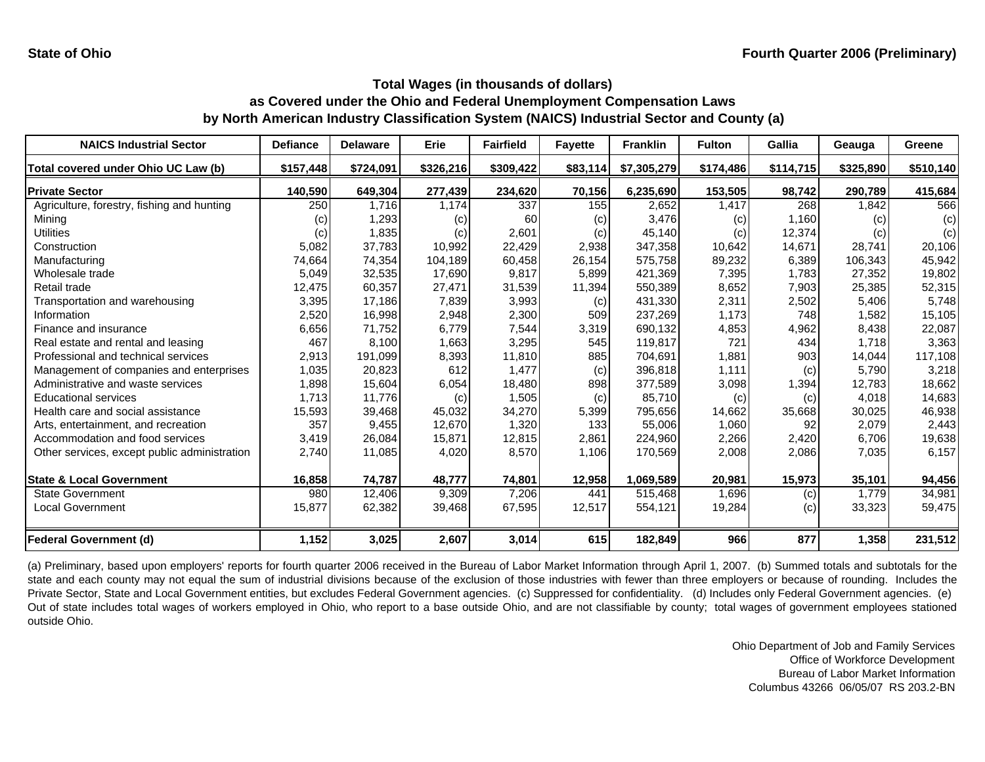| <b>NAICS Industrial Sector</b>               | <b>Defiance</b> | <b>Delaware</b> | Erie      | <b>Fairfield</b> | <b>Fayette</b> | <b>Franklin</b> | <b>Fulton</b> | <b>Gallia</b> | Geauga    | <b>Greene</b> |
|----------------------------------------------|-----------------|-----------------|-----------|------------------|----------------|-----------------|---------------|---------------|-----------|---------------|
| Total covered under Ohio UC Law (b)          | \$157,448       | \$724,091       | \$326,216 | \$309,422        | \$83,114       | \$7,305,279     | \$174,486     | \$114,715     | \$325,890 | \$510,140     |
| <b>Private Sector</b>                        | 140,590         | 649,304         | 277,439   | 234,620          | 70,156         | 6,235,690       | 153,505       | 98,742        | 290,789   | 415,684       |
| Agriculture, forestry, fishing and hunting   | 250             | 1.716           | 1.174     | 337              | 155            | 2,652           | 1,417         | 268           | 1.842     | 566           |
| Mining                                       | (c)             | 1,293           | (c)       | 60               | (c)            | 3,476           | (c)           | 1,160         | (c)       | (c)           |
| Utilities                                    | (c)             | 1,835           | (c)       | 2,601            | (c)            | 45,140          | (c)           | 12,374        | (c)       | (c)           |
| Construction                                 | 5,082           | 37,783          | 10,992    | 22,429           | 2,938          | 347,358         | 10,642        | 14,671        | 28,741    | 20,106        |
| Manufacturing                                | 74,664          | 74,354          | 104,189   | 60,458           | 26,154         | 575,758         | 89,232        | 6,389         | 106,343   | 45,942        |
| Wholesale trade                              | 5,049           | 32,535          | 17,690    | 9,817            | 5,899          | 421,369         | 7,395         | 1,783         | 27,352    | 19,802        |
| Retail trade                                 | 12,475          | 60,357          | 27,471    | 31,539           | 11,394         | 550,389         | 8,652         | 7,903         | 25,385    | 52,315        |
| Transportation and warehousing               | 3,395           | 17,186          | 7,839     | 3,993            | (c)            | 431,330         | 2,311         | 2,502         | 5,406     | 5,748         |
| Information                                  | 2,520           | 16,998          | 2,948     | 2,300            | 509            | 237,269         | 1,173         | 748           | 1,582     | 15,105        |
| Finance and insurance                        | 6,656           | 71,752          | 6,779     | 7,544            | 3,319          | 690,132         | 4,853         | 4,962         | 8,438     | 22,087        |
| Real estate and rental and leasing           | 467             | 8,100           | 1,663     | 3,295            | 545            | 119.817         | 721           | 434           | 1,718     | 3,363         |
| Professional and technical services          | 2,913           | 191,099         | 8,393     | 11,810           | 885            | 704,691         | 1,881         | 903           | 14,044    | 117,108       |
| Management of companies and enterprises      | 1,035           | 20,823          | 612       | 1,477            | (c)            | 396,818         | 1.111         | (c)           | 5,790     | 3,218         |
| Administrative and waste services            | 1,898           | 15,604          | 6,054     | 18.480           | 898            | 377,589         | 3,098         | 1,394         | 12.783    | 18,662        |
| <b>Educational services</b>                  | 1,713           | 11,776          | (c)       | 1,505            | (c)            | 85,710          | (c)           | (c)           | 4,018     | 14,683        |
| Health care and social assistance            | 15,593          | 39,468          | 45,032    | 34,270           | 5,399          | 795,656         | 14,662        | 35,668        | 30,025    | 46,938        |
| Arts, entertainment, and recreation          | 357             | 9,455           | 12,670    | 1,320            | 133            | 55,006          | 1,060         | 92            | 2,079     | 2,443         |
| Accommodation and food services              | 3,419           | 26,084          | 15,871    | 12,815           | 2,861          | 224,960         | 2,266         | 2,420         | 6,706     | 19,638        |
| Other services, except public administration | 2,740           | 11,085          | 4,020     | 8,570            | 1.106          | 170,569         | 2,008         | 2,086         | 7,035     | 6,157         |
| <b>State &amp; Local Government</b>          | 16,858          | 74,787          | 48,777    | 74,801           | 12,958         | 1,069,589       | 20,981        | 15,973        | 35,101    | 94,456        |
| <b>State Government</b>                      | 980             | 12,406          | 9,309     | 7,206            | 441            | 515,468         | 1,696         | (c)           | 1,779     | 34,981        |
| <b>Local Government</b>                      | 15,877          | 62,382          | 39,468    | 67,595           | 12,517         | 554,121         | 19,284        | (c)           | 33,323    | 59,475        |
| <b>Federal Government (d)</b>                | 1,152           | 3,025           | 2,607     | 3,014            | 615            | 182,849         | 966           | 877           | 1,358     | 231,512       |

(a) Preliminary, based upon employers' reports for fourth quarter 2006 received in the Bureau of Labor Market Information through April 1, 2007. (b) Summed totals and subtotals for the state and each county may not equal the sum of industrial divisions because of the exclusion of those industries with fewer than three employers or because of rounding. Includes the Private Sector, State and Local Government entities, but excludes Federal Government agencies. (c) Suppressed for confidentiality. (d) Includes only Federal Government agencies. (e) Out of state includes total wages of workers employed in Ohio, who report to <sup>a</sup> base outside Ohio, and are not classifiable by county; total wages of government employees stationed outside Ohio.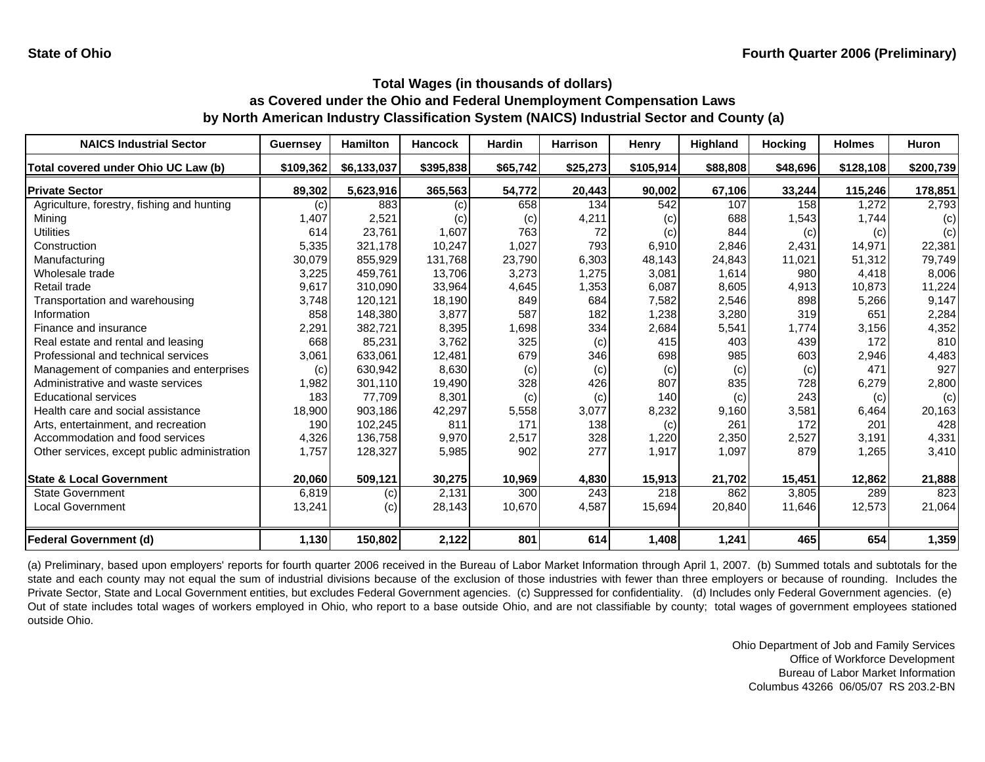| <b>NAICS Industrial Sector</b>               | <b>Guernsey</b>   | <b>Hamilton</b> | <b>Hancock</b> | <b>Hardin</b> | <b>Harrison</b> | Henry     | <b>Highland</b> | <b>Hocking</b> | <b>Holmes</b> | <b>Huron</b> |
|----------------------------------------------|-------------------|-----------------|----------------|---------------|-----------------|-----------|-----------------|----------------|---------------|--------------|
| Total covered under Ohio UC Law (b)          | \$109,362         | \$6,133,037     | \$395,838      | \$65,742      | \$25,273        | \$105,914 | \$88,808        | \$48,696       | \$128,108     | \$200,739    |
| <b>Private Sector</b>                        | 89,302            | 5,623,916       | 365,563        | 54,772        | 20,443          | 90,002    | 67,106          | 33,244         | 115,246       | 178,851      |
| Agriculture, forestry, fishing and hunting   | $\left( c\right)$ | 883             | (c)            | 658           | 134             | 542       | 107             | 158            | ,272          | 2,793        |
| Mining                                       | 1,407             | 2,521           | (c)            | (c)           | 4,211           | (c)       | 688             | 1,543          | 1,744         | (c)          |
| <b>Utilities</b>                             | 614               | 23,761          | 1,607          | 763           | 72              | (c)       | 844             | (c)            | (c)           | (c)          |
| Construction                                 | 5,335             | 321,178         | 10,247         | 1,027         | 793             | 6,910     | 2,846           | 2,431          | 14,971        | 22,381       |
| Manufacturing                                | 30,079            | 855,929         | 131,768        | 23,790        | 6,303           | 48,143    | 24,843          | 11,021         | 51,312        | 79,749       |
| Wholesale trade                              | 3,225             | 459,761         | 13,706         | 3,273         | 1,275           | 3,081     | 1,614           | 980            | 4,418         | 8,006        |
| Retail trade                                 | 9,617             | 310,090         | 33,964         | 4,645         | 1,353           | 6,087     | 8,605           | 4,913          | 10,873        | 11,224       |
| Transportation and warehousing               | 3,748             | 120,121         | 18,190         | 849           | 684             | 7,582     | 2,546           | 898            | 5,266         | 9,147        |
| Information                                  | 858               | 148,380         | 3,877          | 587           | 182             | 1,238     | 3,280           | 319            | 651           | 2,284        |
| Finance and insurance                        | 2,291             | 382,721         | 8,395          | 1,698         | 334             | 2,684     | 5,541           | 1,774          | 3,156         | 4,352        |
| Real estate and rental and leasing           | 668               | 85,231          | 3,762          | 325           | (c)             | 415       | 403             | 439            | 172           | 810          |
| Professional and technical services          | 3,061             | 633,061         | 12,481         | 679           | 346             | 698       | 985             | 603            | 2,946         | 4,483        |
| Management of companies and enterprises      | (c)               | 630,942         | 8,630          | (c)           | (c)             | (c)       | (c)             | (c)            | 471           | 927          |
| Administrative and waste services            | 1,982             | 301,110         | 19,490         | 328           | 426             | 807       | 835             | 728            | 6,279         | 2,800        |
| <b>Educational services</b>                  | 183               | 77,709          | 8,301          | (c)           | (c)             | 140       | (c)             | 243            | (c)           | (c)          |
| Health care and social assistance            | 18,900            | 903,186         | 42,297         | 5,558         | 3,077           | 8,232     | 9,160           | 3,581          | 6,464         | 20,163       |
| Arts, entertainment, and recreation          | 190               | 102,245         | 811            | 171           | 138             | (c)       | 261             | 172            | 201           | 428          |
| Accommodation and food services              | 4,326             | 136,758         | 9,970          | 2,517         | 328             | 1,220     | 2,350           | 2,527          | 3,191         | 4,331        |
| Other services, except public administration | 1,757             | 128,327         | 5,985          | 902           | 277             | 1,917     | 1,097           | 879            | 1,265         | 3,410        |
| <b>State &amp; Local Government</b>          | 20,060            | 509,121         | 30,275         | 10,969        | 4,830           | 15,913    | 21,702          | 15,451         | 12,862        | 21,888       |
| <b>State Government</b>                      | 6,819             | (c)             | 2,131          | 300           | 243             | 218       | 862             | 3,805          | 289           | 823          |
| Local Government                             | 13,241            | (c)             | 28,143         | 10,670        | 4,587           | 15,694    | 20,840          | 11,646         | 12,573        | 21,064       |
| <b>Federal Government (d)</b>                | 1,130             | 150,802         | 2,122          | 801           | 614             | 1,408     | 1,241           | 465            | 654           | 1,359        |

(a) Preliminary, based upon employers' reports for fourth quarter 2006 received in the Bureau of Labor Market Information through April 1, 2007. (b) Summed totals and subtotals for the state and each county may not equal the sum of industrial divisions because of the exclusion of those industries with fewer than three employers or because of rounding. Includes the Private Sector, State and Local Government entities, but excludes Federal Government agencies. (c) Suppressed for confidentiality. (d) Includes only Federal Government agencies. (e) Out of state includes total wages of workers employed in Ohio, who report to <sup>a</sup> base outside Ohio, and are not classifiable by county; total wages of government employees stationed outside Ohio.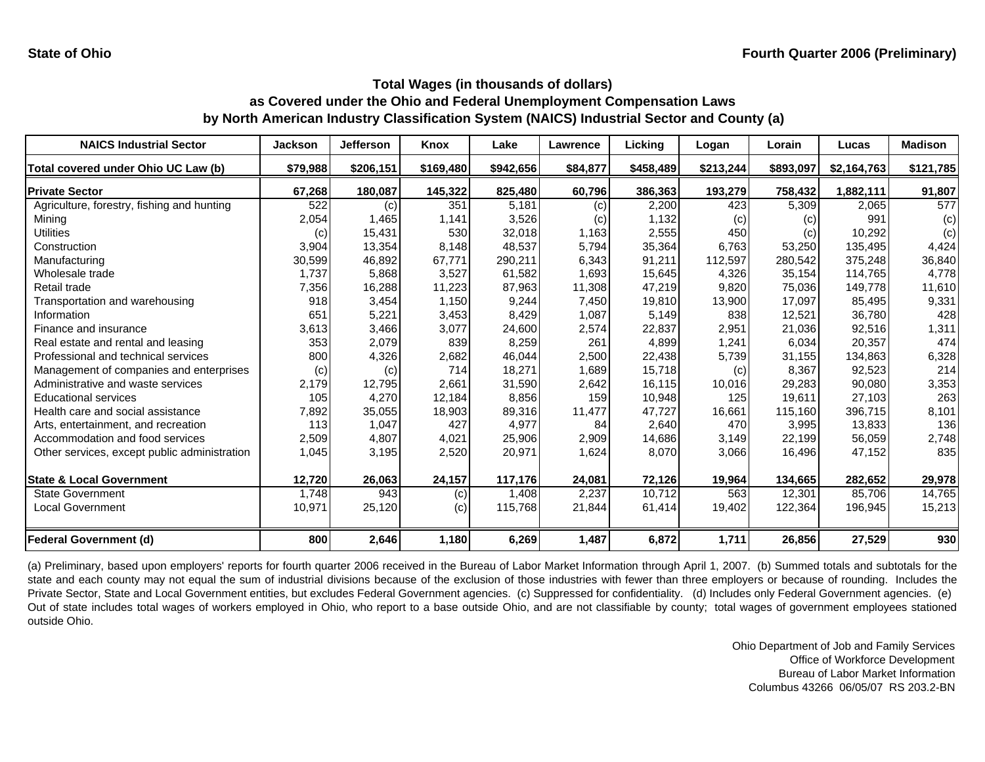| <b>NAICS Industrial Sector</b>               | <b>Jackson</b> | Jefferson | <b>Knox</b> | Lake      | <b>Lawrence</b> | Lickina   | Logan     | Lorain    | Lucas       | <b>Madison</b> |
|----------------------------------------------|----------------|-----------|-------------|-----------|-----------------|-----------|-----------|-----------|-------------|----------------|
| Total covered under Ohio UC Law (b)          | \$79,988       | \$206,151 | \$169,480   | \$942,656 | \$84,877        | \$458,489 | \$213,244 | \$893,097 | \$2,164,763 | \$121,785      |
| <b>Private Sector</b>                        | 67,268         | 180,087   | 145,322     | 825,480   | 60,796          | 386,363   | 193,279   | 758,432   | 1,882,111   | 91,807         |
| Agriculture, forestry, fishing and hunting   | 522            | (c)       | 351         | 5,181     | (c)             | 2,200     | 423       | 5,309     | 2,065       | 577            |
| Mining                                       | 2,054          | 1,465     | 1,141       | 3,526     | (c)             | 1,132     | (c)       | (c)       | 991         | (c)            |
| Utilities                                    | (c)            | 15,431    | 530         | 32,018    | 1,163           | 2,555     | 450       | (c)       | 10,292      | (c)            |
| Construction                                 | 3,904          | 13,354    | 8,148       | 48,537    | 5,794           | 35,364    | 6,763     | 53,250    | 135,495     | 4,424          |
| Manufacturing                                | 30,599         | 46,892    | 67,771      | 290,211   | 6,343           | 91,211    | 112,597   | 280,542   | 375,248     | 36,840         |
| Wholesale trade                              | 1,737          | 5,868     | 3,527       | 61,582    | 1,693           | 15,645    | 4.326     | 35.154    | 114.765     | 4,778          |
| Retail trade                                 | 7,356          | 16,288    | 11,223      | 87,963    | 11,308          | 47,219    | 9,820     | 75,036    | 149,778     | 11,610         |
| Transportation and warehousing               | 918            | 3,454     | 1,150       | 9,244     | 7,450           | 19,810    | 13,900    | 17,097    | 85,495      | 9,331          |
| Information                                  | 651            | 5,221     | 3,453       | 8,429     | 1,087           | 5,149     | 838       | 12,521    | 36.780      | 428            |
| Finance and insurance                        | 3,613          | 3,466     | 3,077       | 24,600    | 2,574           | 22,837    | 2,951     | 21,036    | 92,516      | 1,311          |
| Real estate and rental and leasing           | 353            | 2,079     | 839         | 8,259     | 261             | 4,899     | 1,241     | 6,034     | 20,357      | 474            |
| Professional and technical services          | 800            | 4,326     | 2,682       | 46,044    | 2,500           | 22,438    | 5,739     | 31,155    | 134,863     | 6,328          |
| Management of companies and enterprises      | (c)            | (c)       | 714         | 18,271    | 1,689           | 15,718    | (c)       | 8,367     | 92,523      | 214            |
| Administrative and waste services            | 2,179          | 12,795    | 2,661       | 31,590    | 2,642           | 16,115    | 10,016    | 29,283    | 90,080      | 3,353          |
| <b>Educational services</b>                  | 105            | 4,270     | 12,184      | 8,856     | 159             | 10,948    | 125       | 19,611    | 27,103      | 263            |
| Health care and social assistance            | 7,892          | 35,055    | 18,903      | 89,316    | 11,477          | 47,727    | 16,661    | 115,160   | 396,715     | 8,101          |
| Arts, entertainment, and recreation          | 113            | 1,047     | 427         | 4,977     | 84              | 2,640     | 470       | 3,995     | 13,833      | 136            |
| Accommodation and food services              | 2,509          | 4,807     | 4,021       | 25,906    | 2,909           | 14,686    | 3,149     | 22,199    | 56,059      | 2,748          |
| Other services, except public administration | 1,045          | 3,195     | 2,520       | 20,971    | 1,624           | 8,070     | 3,066     | 16,496    | 47,152      | 835            |
| <b>State &amp; Local Government</b>          | 12,720         | 26,063    | 24,157      | 117,176   | 24,081          | 72,126    | 19,964    | 134,665   | 282,652     | 29,978         |
| <b>State Government</b>                      | 1.748          | 943       | (c)         | 1,408     | 2,237           | 10.712    | 563       | 12,301    | 85.706      | 14,765         |
| <b>Local Government</b>                      | 10,971         | 25,120    | (c)         | 115,768   | 21,844          | 61,414    | 19,402    | 122,364   | 196,945     | 15,213         |
| <b>Federal Government (d)</b>                | 800            | 2,646     | 1,180       | 6,269     | 1,487           | 6,872     | 1,711     | 26,856    | 27,529      | 930            |

(a) Preliminary, based upon employers' reports for fourth quarter 2006 received in the Bureau of Labor Market Information through April 1, 2007. (b) Summed totals and subtotals for the state and each county may not equal the sum of industrial divisions because of the exclusion of those industries with fewer than three employers or because of rounding. Includes the Private Sector, State and Local Government entities, but excludes Federal Government agencies. (c) Suppressed for confidentiality. (d) Includes only Federal Government agencies. (e) Out of state includes total wages of workers employed in Ohio, who report to <sup>a</sup> base outside Ohio, and are not classifiable by county; total wages of government employees stationed outside Ohio.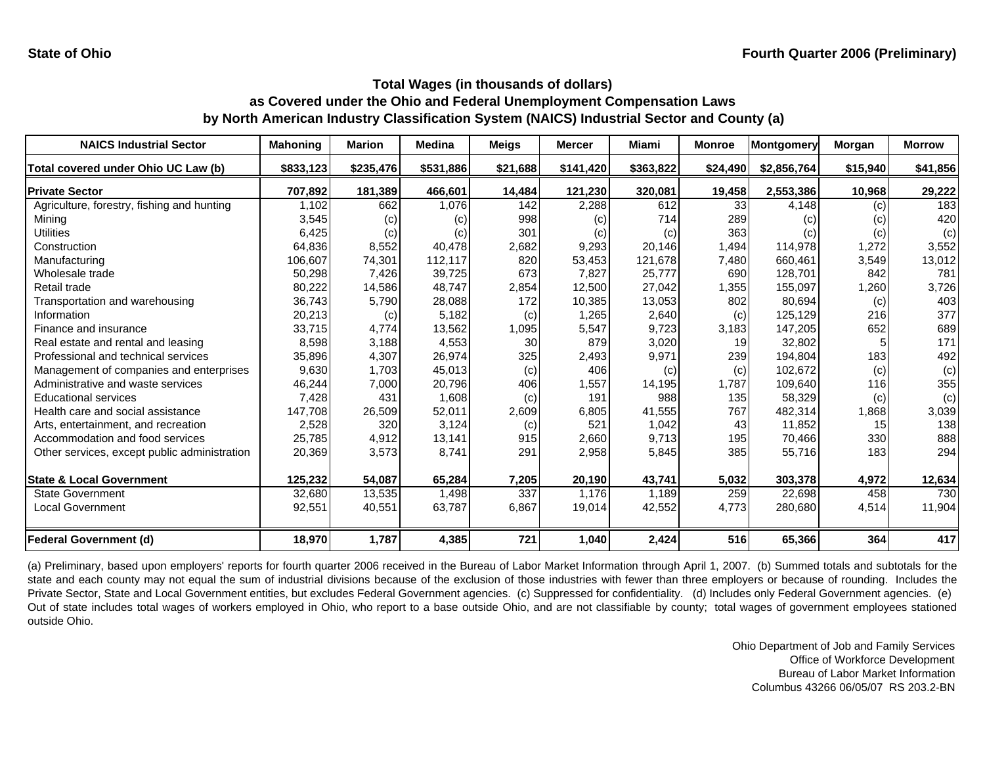| <b>NAICS Industrial Sector</b>               | <b>Mahoning</b> | <b>Marion</b> | <b>Medina</b> | <b>Meigs</b> | <b>Mercer</b> | Miami     | <b>Monroe</b> | Montgomery  | Morgan   | <b>Morrow</b> |
|----------------------------------------------|-----------------|---------------|---------------|--------------|---------------|-----------|---------------|-------------|----------|---------------|
| Total covered under Ohio UC Law (b)          | \$833,123       | \$235,476     | \$531,886     | \$21,688     | \$141,420     | \$363,822 | \$24,490      | \$2,856,764 | \$15,940 | \$41,856      |
| <b>Private Sector</b>                        | 707,892         | 181,389       | 466,601       | 14,484       | 121,230       | 320,081   | 19,458        | 2,553,386   | 10,968   | 29,222        |
| Agriculture, forestry, fishing and hunting   | 1,102           | 662           | 1,076         | 142          | 2,288         | 612       | 33            | 4,148       | (c)      | 183           |
| Mining                                       | 3,545           | (c)           | (c)           | 998          | (c)           | 714       | 289           | (c)         | (c)      | 420           |
| Utilities                                    | 6,425           | (c)           | (c)           | 301          | (c)           | (c)       | 363           | (c)         | (c)      | (c)           |
| Construction                                 | 64,836          | 8,552         | 40,478        | 2,682        | 9,293         | 20,146    | 1,494         | 114,978     | 1,272    | 3,552         |
| Manufacturing                                | 106,607         | 74,301        | 112,117       | 820          | 53,453        | 121,678   | 7,480         | 660,461     | 3,549    | 13,012        |
| Wholesale trade                              | 50,298          | 7,426         | 39,725        | 673          | 7,827         | 25,777    | 690           | 128,701     | 842      | 781           |
| Retail trade                                 | 80,222          | 14,586        | 48,747        | 2,854        | 12,500        | 27,042    | 1,355         | 155,097     | 1,260    | 3,726         |
| Transportation and warehousing               | 36,743          | 5,790         | 28,088        | 172          | 10,385        | 13,053    | 802           | 80,694      | (c)      | 403           |
| Information                                  | 20,213          | (c)           | 5,182         | (c)          | 1,265         | 2,640     | (c)           | 125,129     | 216      | 377           |
| Finance and insurance                        | 33,715          | 4,774         | 13,562        | 1,095        | 5,547         | 9,723     | 3,183         | 147,205     | 652      | 689           |
| Real estate and rental and leasing           | 8,598           | 3,188         | 4,553         | 30           | 879           | 3,020     | 19            | 32,802      | 5        | 171           |
| Professional and technical services          | 35,896          | 4,307         | 26,974        | 325          | 2,493         | 9,971     | 239           | 194,804     | 183      | 492           |
| Management of companies and enterprises      | 9,630           | 1,703         | 45,013        | (c)          | 406           | (c)       | (c)           | 102,672     | (c)      | (c)           |
| Administrative and waste services            | 46,244          | 7,000         | 20,796        | 406          | 1,557         | 14,195    | 1.787         | 109,640     | 116      | 355           |
| <b>Educational services</b>                  | 7,428           | 431           | 1,608         | (c)          | 191           | 988       | 135           | 58,329      | (c)      | (c)           |
| Health care and social assistance            | 147,708         | 26,509        | 52,011        | 2,609        | 6,805         | 41,555    | 767           | 482,314     | 1,868    | 3,039         |
| Arts, entertainment, and recreation          | 2,528           | 320           | 3,124         | (c)          | 521           | 1,042     | 43            | 11,852      | 15       | 138           |
| Accommodation and food services              | 25,785          | 4,912         | 13,141        | 915          | 2,660         | 9,713     | 195           | 70,466      | 330      | 888           |
| Other services, except public administration | 20,369          | 3,573         | 8,741         | 291          | 2,958         | 5,845     | 385           | 55,716      | 183      | 294           |
| <b>State &amp; Local Government</b>          | 125,232         | 54,087        | 65,284        | 7,205        | 20,190        | 43,741    | 5,032         | 303,378     | 4,972    | 12,634        |
| <b>State Government</b>                      | 32,680          | 13,535        | 1,498         | 337          | 1,176         | 1,189     | 259           | 22,698      | 458      | 730           |
| <b>Local Government</b>                      | 92,551          | 40,551        | 63,787        | 6,867        | 19,014        | 42,552    | 4,773         | 280,680     | 4,514    | 11,904        |
| <b>Federal Government (d)</b>                | 18,970          | 1,787         | 4,385         | 721          | 1,040         | 2,424     | 516           | 65,366      | 364      | 417           |

(a) Preliminary, based upon employers' reports for fourth quarter 2006 received in the Bureau of Labor Market Information through April 1, 2007. (b) Summed totals and subtotals for the state and each county may not equal the sum of industrial divisions because of the exclusion of those industries with fewer than three employers or because of rounding. Includes the Private Sector, State and Local Government entities, but excludes Federal Government agencies. (c) Suppressed for confidentiality. (d) Includes only Federal Government agencies. (e) Out of state includes total wages of workers employed in Ohio, who report to <sup>a</sup> base outside Ohio, and are not classifiable by county; total wages of government employees stationed outside Ohio.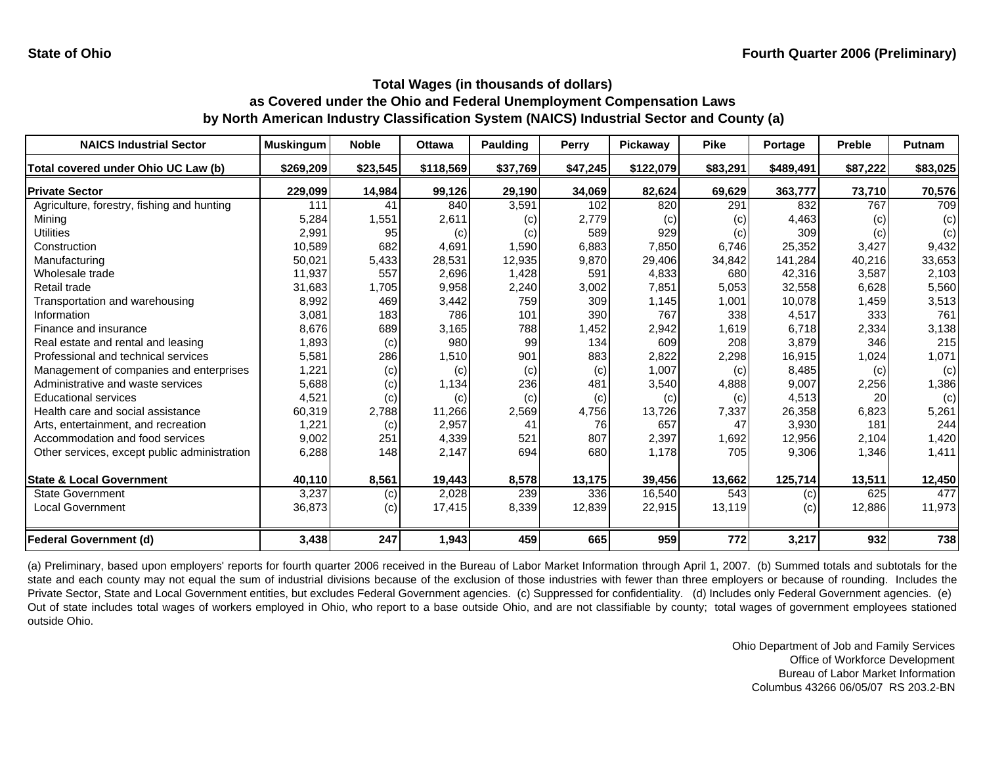| <b>NAICS Industrial Sector</b>               | <b>Muskingum</b> | <b>Noble</b> | <b>Ottawa</b> | <b>Paulding</b> | Perry    | Pickaway  | <b>Pike</b> | Portage   | <b>Preble</b> | Putnam   |
|----------------------------------------------|------------------|--------------|---------------|-----------------|----------|-----------|-------------|-----------|---------------|----------|
| Total covered under Ohio UC Law (b)          | \$269,209        | \$23,545     | \$118,569     | \$37,769        | \$47,245 | \$122,079 | \$83,291    | \$489,491 | \$87,222      | \$83,025 |
| <b>Private Sector</b>                        | 229,099          | 14,984       | 99,126        | 29,190          | 34,069   | 82,624    | 69,629      | 363,777   | 73,710        | 70,576   |
| Agriculture, forestry, fishing and hunting   | 111              | 41           | 840           | 3,591           | 102      | 820       | 291         | 832       | 767           | 709      |
| Minina                                       | 5,284            | 1,551        | 2,611         | (c)             | 2,779    | (c)       | (c)         | 4,463     | (c)           | (c)      |
| Utilities                                    | 2,991            | 95           | (c)           | (c)             | 589      | 929       | (c)         | 309       | (c)           | (c)      |
| Construction                                 | 10,589           | 682          | 4,691         | 1,590           | 6,883    | 7,850     | 6.746       | 25,352    | 3,427         | 9,432    |
| Manufacturing                                | 50,021           | 5,433        | 28,531        | 12,935          | 9,870    | 29,406    | 34,842      | 141,284   | 40,216        | 33,653   |
| Wholesale trade                              | 11,937           | 557          | 2,696         | 1,428           | 591      | 4,833     | 680         | 42,316    | 3,587         | 2,103    |
| Retail trade                                 | 31,683           | 1,705        | 9,958         | 2,240           | 3,002    | 7,851     | 5,053       | 32,558    | 6,628         | 5,560    |
| Transportation and warehousing               | 8,992            | 469          | 3,442         | 759             | 309      | 1,145     | 1,001       | 10,078    | 1,459         | 3,513    |
| Information                                  | 3,081            | 183          | 786           | 101             | 390      | 767       | 338         | 4,517     | 333           | 761      |
| Finance and insurance                        | 8,676            | 689          | 3,165         | 788             | 1,452    | 2,942     | 1,619       | 6,718     | 2,334         | 3,138    |
| Real estate and rental and leasing           | 1,893            | (c)          | 980           | 99              | 134      | 609       | 208         | 3,879     | 346           | 215      |
| Professional and technical services          | 5,581            | 286          | 1,510         | 901             | 883      | 2,822     | 2,298       | 16,915    | 1,024         | 1,071    |
| Management of companies and enterprises      | 1,221            | (c)          | (c)           | (c)             | (c)      | 1,007     | (c)         | 8,485     | (c)           | (c)      |
| Administrative and waste services            | 5,688            | (c)          | 1,134         | 236             | 481      | 3,540     | 4,888       | 9,007     | 2,256         | 1,386    |
| <b>Educational services</b>                  | 4,521            | (c)          | (c)           | (c)             | (c)      | (c)       | (c)         | 4,513     | 20            | (c)      |
| Health care and social assistance            | 60,319           | 2,788        | 11,266        | 2,569           | 4,756    | 13,726    | 7,337       | 26,358    | 6,823         | 5,261    |
| Arts, entertainment, and recreation          | 1,221            | (c)          | 2,957         | 41              | 76       | 657       | 47          | 3,930     | 181           | 244      |
| Accommodation and food services              | 9,002            | 251          | 4,339         | 521             | 807      | 2,397     | 1,692       | 12,956    | 2,104         | 1,420    |
| Other services, except public administration | 6,288            | 148          | 2,147         | 694             | 680      | 1,178     | 705         | 9,306     | 1,346         | 1,411    |
| <b>State &amp; Local Government</b>          | 40,110           | 8,561        | 19,443        | 8,578           | 13,175   | 39,456    | 13,662      | 125,714   | 13,511        | 12,450   |
| <b>State Government</b>                      | 3,237            | (c)          | 2,028         | 239             | 336      | 16,540    | 543         | (c)       | 625           | 477      |
| <b>Local Government</b>                      | 36,873           | (c)          | 17,415        | 8,339           | 12,839   | 22,915    | 13,119      | (c)       | 12,886        | 11,973   |
| <b>Federal Government (d)</b>                | 3,438            | 247          | 1,943         | 459             | 665      | 959       | 772         | 3,217     | 932           | 738      |

(a) Preliminary, based upon employers' reports for fourth quarter 2006 received in the Bureau of Labor Market Information through April 1, 2007. (b) Summed totals and subtotals for the state and each county may not equal the sum of industrial divisions because of the exclusion of those industries with fewer than three employers or because of rounding. Includes the Private Sector, State and Local Government entities, but excludes Federal Government agencies. (c) Suppressed for confidentiality. (d) Includes only Federal Government agencies. (e) Out of state includes total wages of workers employed in Ohio, who report to <sup>a</sup> base outside Ohio, and are not classifiable by county; total wages of government employees stationed outside Ohio.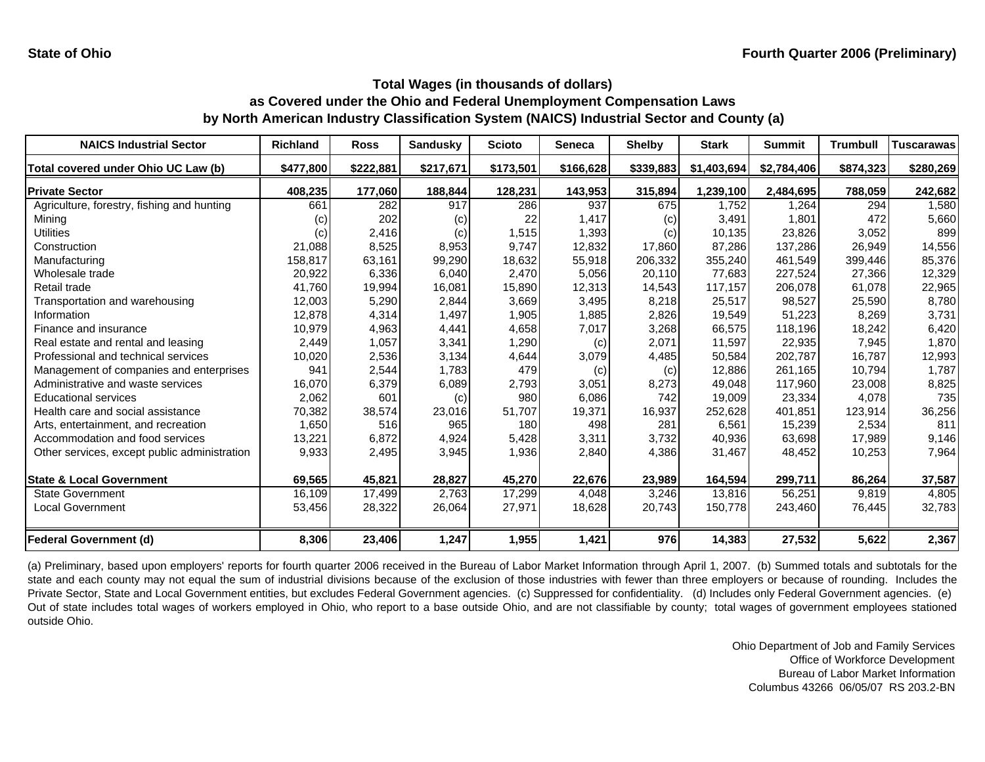| <b>NAICS Industrial Sector</b>               | Richland          | <b>Ross</b> | <b>Sandusky</b> | <b>Scioto</b> | <b>Seneca</b> | <b>Shelby</b> | <b>Stark</b> | <b>Summit</b> | <b>Trumbull</b> | <b>Tuscarawas</b> |
|----------------------------------------------|-------------------|-------------|-----------------|---------------|---------------|---------------|--------------|---------------|-----------------|-------------------|
| Total covered under Ohio UC Law (b)          | \$477,800         | \$222,881   | \$217,671       | \$173,501     | \$166,628     | \$339,883     | \$1,403,694  | \$2,784,406   | \$874,323       | \$280,269         |
| <b>Private Sector</b>                        | 408,235           | 177,060     | 188,844         | 128,231       | 143,953       | 315,894       | 1,239,100    | 2,484,695     | 788,059         | 242,682           |
| Agriculture, forestry, fishing and hunting   | 661               | 282         | 917             | 286           | 937           | 675           | 1.752        | 1,264         | 294             | 1,580             |
| Mining                                       | $\left( c\right)$ | 202         | (c)             | 22            | 1,417         | (c)           | 3,491        | 1.801         | 472             | 5,660             |
| Utilities                                    | (c)               | 2,416       | (c)             | 1,515         | 1,393         | (c)           | 10,135       | 23,826        | 3,052           | 899               |
| Construction                                 | 21,088            | 8,525       | 8,953           | 9.747         | 12,832        | 17,860        | 87,286       | 137,286       | 26.949          | 14,556            |
| Manufacturing                                | 158,817           | 63,161      | 99,290          | 18,632        | 55,918        | 206,332       | 355,240      | 461,549       | 399,446         | 85,376            |
| Wholesale trade                              | 20,922            | 6,336       | 6,040           | 2.470         | 5,056         | 20,110        | 77.683       | 227,524       | 27,366          | 12,329            |
| Retail trade                                 | 41,760            | 19,994      | 16,081          | 15,890        | 12,313        | 14,543        | 117.157      | 206,078       | 61,078          | 22,965            |
| Transportation and warehousing               | 12,003            | 5,290       | 2,844           | 3,669         | 3,495         | 8,218         | 25,517       | 98,527        | 25,590          | 8,780             |
| Information                                  | 12,878            | 4,314       | 1,497           | 1,905         | 1,885         | 2,826         | 19,549       | 51,223        | 8.269           | 3,731             |
| Finance and insurance                        | 10,979            | 4,963       | 4,441           | 4,658         | 7,017         | 3,268         | 66,575       | 118,196       | 18,242          | 6,420             |
| Real estate and rental and leasing           | 2,449             | 1,057       | 3,341           | 1,290         | (c)           | 2,071         | 11,597       | 22,935        | 7,945           | 1,870             |
| Professional and technical services          | 10,020            | 2,536       | 3,134           | 4,644         | 3,079         | 4,485         | 50,584       | 202,787       | 16,787          | 12,993            |
| Management of companies and enterprises      | 941               | 2,544       | 1,783           | 479           | (c)           | (c)           | 12.886       | 261.165       | 10.794          | 1.787             |
| Administrative and waste services            | 16,070            | 6,379       | 6,089           | 2,793         | 3,051         | 8,273         | 49,048       | 117,960       | 23,008          | 8,825             |
| <b>Educational services</b>                  | 2,062             | 601         | (c)             | 980           | 6,086         | 742           | 19,009       | 23,334        | 4,078           | 735               |
| Health care and social assistance            | 70,382            | 38,574      | 23,016          | 51,707        | 19,371        | 16,937        | 252,628      | 401,851       | 123,914         | 36,256            |
| Arts, entertainment, and recreation          | 1,650             | 516         | 965             | 180           | 498           | 281           | 6,561        | 15,239        | 2,534           | 811               |
| Accommodation and food services              | 13,221            | 6,872       | 4,924           | 5,428         | 3,311         | 3,732         | 40,936       | 63,698        | 17,989          | 9,146             |
| Other services, except public administration | 9,933             | 2,495       | 3,945           | 1,936         | 2,840         | 4,386         | 31,467       | 48,452        | 10,253          | 7,964             |
| <b>State &amp; Local Government</b>          | 69,565            | 45,821      | 28,827          | 45,270        | 22,676        | 23,989        | 164,594      | 299,711       | 86,264          | 37,587            |
| <b>State Government</b>                      | 16,109            | 17,499      | 2,763           | 17,299        | 4,048         | 3,246         | 13,816       | 56,251        | 9,819           | 4,805             |
| <b>Local Government</b>                      | 53,456            | 28,322      | 26,064          | 27,971        | 18,628        | 20,743        | 150,778      | 243,460       | 76,445          | 32,783            |
| <b>Federal Government (d)</b>                | 8,306             | 23,406      | 1,247           | 1,955         | 1,421         | 976           | 14,383       | 27,532        | 5,622           | 2,367             |

(a) Preliminary, based upon employers' reports for fourth quarter 2006 received in the Bureau of Labor Market Information through April 1, 2007. (b) Summed totals and subtotals for the state and each county may not equal the sum of industrial divisions because of the exclusion of those industries with fewer than three employers or because of rounding. Includes the Private Sector, State and Local Government entities, but excludes Federal Government agencies. (c) Suppressed for confidentiality. (d) Includes only Federal Government agencies. (e) Out of state includes total wages of workers employed in Ohio, who report to <sup>a</sup> base outside Ohio, and are not classifiable by county; total wages of government employees stationed outside Ohio.